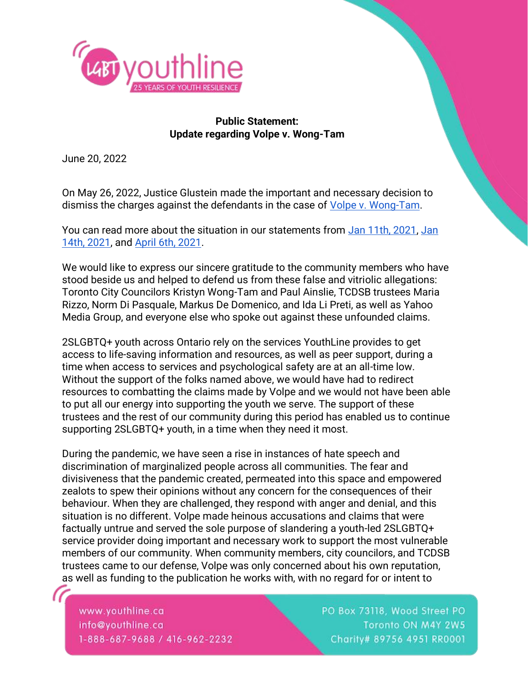

## **Public Statement: Update regarding Volpe v. Wong-Tam**

June 20, 2022

On May 26, 2022, Justice Glustein made the important and necessary decision to dismiss the charges against the defendants in the case of [Volpe v. Wong-Tam.](https://www.canlii.org/en/on/onsc/doc/2022/2022onsc3106/2022onsc3106.html)

You can read more about the situation in our statements from [Jan 11th, 2021,](https://www.youthline.ca/news/tcdsb-jan-11/) [Jan](https://www.youthline.ca/news/lets-dobetter-in-ontario-catholic-schools/)  [14th, 2021,](https://www.youthline.ca/news/lets-dobetter-in-ontario-catholic-schools/) and [April 6th, 2021.](https://www.youthline.ca/news/re-affirming-our-commitment-to-2slgbtq-youth/)

We would like to express our sincere gratitude to the community members who have stood beside us and helped to defend us from these false and vitriolic allegations: Toronto City Councilors Kristyn Wong-Tam and Paul Ainslie, TCDSB trustees Maria Rizzo, Norm Di Pasquale, Markus De Domenico, and Ida Li Preti, as well as Yahoo Media Group, and everyone else who spoke out against these unfounded claims.

2SLGBTQ+ youth across Ontario rely on the services YouthLine provides to get access to life-saving information and resources, as well as peer support, during a time when access to services and psychological safety are at an all-time low. Without the support of the folks named above, we would have had to redirect resources to combatting the claims made by Volpe and we would not have been able to put all our energy into supporting the youth we serve. The support of these trustees and the rest of our community during this period has enabled us to continue supporting 2SLGBTQ+ youth, in a time when they need it most.

During the pandemic, we have seen a rise in instances of hate speech and discrimination of marginalized people across all communities. The fear and divisiveness that the pandemic created, permeated into this space and empowered zealots to spew their opinions without any concern for the consequences of their behaviour. When they are challenged, they respond with anger and denial, and this situation is no different. Volpe made heinous accusations and claims that were factually untrue and served the sole purpose of slandering a youth-led 2SLGBTQ+ service provider doing important and necessary work to support the most vulnerable members of our community. When community members, city councilors, and TCDSB trustees came to our defense, Volpe was only concerned about his own reputation, as well as funding to the publication he works with, with no regard for or intent to

www.youthline.ca info@youthline.ca 1-888-687-9688 / 416-962-2232 PO Box 73118, Wood Street PO Toronto ON M4Y 2W5 Charity# 89756 4951 RR0001